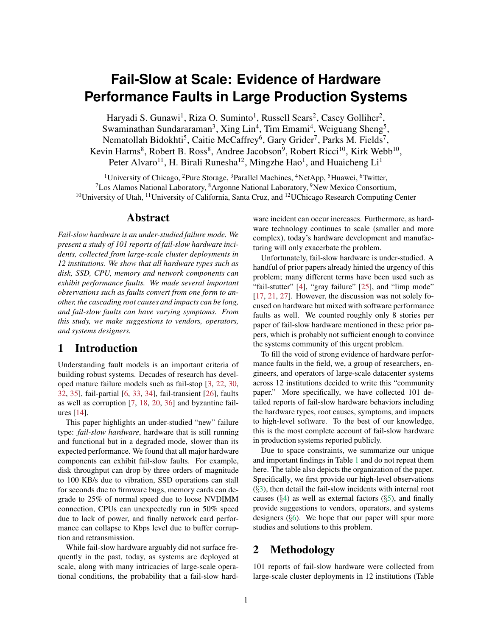# **Fail-Slow at Scale: Evidence of Hardware Performance Faults in Large Production Systems**

Haryadi S. Gunawi<sup>1</sup>, Riza O. Suminto<sup>1</sup>, Russell Sears<sup>2</sup>, Casey Golliher<sup>2</sup>, Swaminathan Sundararaman<sup>3</sup>, Xing Lin<sup>4</sup>, Tim Emami<sup>4</sup>, Weiguang Sheng<sup>5</sup>, Nematollah Bidokhti<sup>5</sup>, Caitie McCaffrey<sup>6</sup>, Gary Grider<sup>7</sup>, Parks M. Fields<sup>7</sup>, Kevin Harms<sup>8</sup>, Robert B. Ross<sup>8</sup>, Andree Jacobson<sup>9</sup>, Robert Ricci<sup>10</sup>, Kirk Webb<sup>10</sup>, Peter Alvaro<sup>11</sup>, H. Birali Runesha<sup>12</sup>, Mingzhe Hao<sup>1</sup>, and Huaicheng Li<sup>1</sup>

<sup>1</sup>University of Chicago, <sup>2</sup>Pure Storage, <sup>3</sup>Parallel Machines, <sup>4</sup>NetApp, <sup>5</sup>Huawei, <sup>6</sup>Twitter, <sup>7</sup>Los Alamos National Laboratory, <sup>8</sup>Argonne National Laboratory, <sup>9</sup>New Mexico Consortium, <sup>10</sup>University of Utah, <sup>11</sup>University of California, Santa Cruz, and <sup>12</sup>UChicago Research Computing Center

#### Abstract

*Fail-slow hardware is an under-studied failure mode. We present a study of 101 reports of fail-slow hardware incidents, collected from large-scale cluster deployments in 12 institutions. We show that all hardware types such as disk, SSD, CPU, memory and network components can exhibit performance faults. We made several important observations such as faults convert from one form to another, the cascading root causes and impacts can be long, and fail-slow faults can have varying symptoms. From this study, we make suggestions to vendors, operators, and systems designers.*

# 1 Introduction

Understanding fault models is an important criteria of building robust systems. Decades of research has developed mature failure models such as fail-stop [\[3,](#page-12-0) [22,](#page-12-1) [30,](#page-13-0) [32,](#page-13-1) [35\]](#page-13-2), fail-partial [\[6,](#page-12-2) [33,](#page-13-3) [34\]](#page-13-4), fail-transient [\[26\]](#page-13-5), faults as well as corruption [\[7,](#page-12-3) [18,](#page-12-4) [20,](#page-12-5) [36\]](#page-13-6) and byzantine failures [\[14\]](#page-12-6).

This paper highlights an under-studied "new" failure type: *fail-slow hardware*, hardware that is still running and functional but in a degraded mode, slower than its expected performance. We found that all major hardware components can exhibit fail-slow faults. For example, disk throughput can drop by three orders of magnitude to 100 KB/s due to vibration, SSD operations can stall for seconds due to firmware bugs, memory cards can degrade to 25% of normal speed due to loose NVDIMM connection, CPUs can unexpectedly run in 50% speed due to lack of power, and finally network card performance can collapse to Kbps level due to buffer corruption and retransmission.

While fail-slow hardware arguably did not surface frequently in the past, today, as systems are deployed at scale, along with many intricacies of large-scale operational conditions, the probability that a fail-slow hardware incident can occur increases. Furthermore, as hardware technology continues to scale (smaller and more complex), today's hardware development and manufacturing will only exacerbate the problem.

Unfortunately, fail-slow hardware is under-studied. A handful of prior papers already hinted the urgency of this problem; many different terms have been used such as "fail-stutter" [\[4\]](#page-12-7), "gray failure" [\[25\]](#page-13-7), and "limp mode" [\[17,](#page-12-8) [21,](#page-12-9) [27\]](#page-13-8). However, the discussion was not solely focused on hardware but mixed with software performance faults as well. We counted roughly only 8 stories per paper of fail-slow hardware mentioned in these prior papers, which is probably not sufficient enough to convince the systems community of this urgent problem.

To fill the void of strong evidence of hardware performance faults in the field, we, a group of researchers, engineers, and operators of large-scale datacenter systems across 12 institutions decided to write this "community paper." More specifically, we have collected 101 detailed reports of fail-slow hardware behaviors including the hardware types, root causes, symptoms, and impacts to high-level software. To the best of our knowledge, this is the most complete account of fail-slow hardware in production systems reported publicly.

Due to space constraints, we summarize our unique and important findings in Table [1](#page-1-0) and do not repeat them here. The table also depicts the organization of the paper. Specifically, we first provide our high-level observations (§[3\)](#page-1-1), then detail the fail-slow incidents with internal root causes ( $\S$ [4\)](#page-4-0) as well as external factors ( $\S$ [5\)](#page-6-0), and finally provide suggestions to vendors, operators, and systems designers (§[6\)](#page-8-0). We hope that our paper will spur more studies and solutions to this problem.

# 2 Methodology

101 reports of fail-slow hardware were collected from large-scale cluster deployments in 12 institutions (Table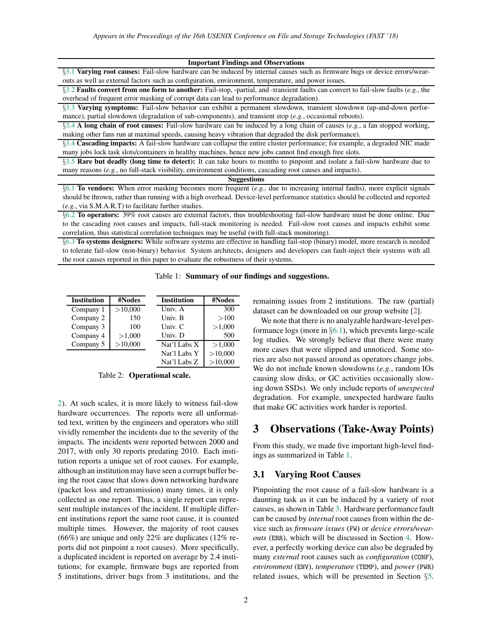#### Important Findings and Observations

§[3.1](#page-1-2) Varying root causes: Fail-slow hardware can be induced by internal causes such as firmware bugs or device errors/wearouts as well as external factors such as configuration, environment, temperature, and power issues.

§[3.2](#page-2-0) Faults convert from one form to another: Fail-stop, -partial, and -transient faults can convert to fail-slow faults (*e.g.*, the overhead of frequent error masking of corrupt data can lead to performance degradation).

§[3.3](#page-2-1) Varying symptoms: Fail-slow behavior can exhibit a permanent slowdown, transient slowdown (up-and-down performance), partial slowdown (degradation of sub-components), and transient stop (*e.g.*, occasional reboots).

§[3.4](#page-3-0) A long chain of root causes: Fail-slow hardware can be induced by a long chain of causes (*e.g.*, a fan stopped working, making other fans run at maximal speeds, causing heavy vibration that degraded the disk performance).

§[3.4](#page-3-0) Cascading impacts: A fail-slow hardware can collapse the entire cluster performance; for example, a degraded NIC made many jobs lock task slots/containers in healthy machines, hence new jobs cannot find enough free slots.

§[3.5](#page-4-1) Rare but deadly (long time to detect): It can take hours to months to pinpoint and isolate a fail-slow hardware due to many reasons (*e.g.*, no full-stack visibility, environment conditions, cascading root causes and impacts).

Suggestions

§[6.1](#page-8-1) To vendors: When error masking becomes more frequent (*e.g.*, due to increasing internal faults), more explicit signals should be thrown, rather than running with a high overhead. Device-level performance statistics should be collected and reported (*e.g.*, via S.M.A.R.T) to facilitate further studies.

§[6.2](#page-9-0) To operators: 39% root causes are external factors, thus troubleshooting fail-slow hardware must be done online. Due to the cascading root causes and impacts, full-stack monitoring is needed. Fail-slow root causes and impacts exhibit some correlation, thus statistical correlation techniques may be useful (with full-stack monitoring).

§[6.3](#page-9-1) To systems designers: While software systems are effective in handling fail-stop (binary) model, more research is needed to tolerate fail-slow (non-binary) behavior. System architects, designers and developers can fault-inject their systems with all the root causes reported in this paper to evaluate the robustness of their systems.

<span id="page-1-0"></span>Table 1: Summary of our findings and suggestions.

| <b>Institution</b> | #Nodes  | <b>Institution</b> | #Nodes  |
|--------------------|---------|--------------------|---------|
| Company 1          | >10,000 | Univ. A            | 300     |
| Company 2          | 150     | Univ. B            | >100    |
| Company 3          | 100     | Univ. C            | >1,000  |
| Company 4          | >1,000  | Univ. D            | 500     |
| Company 5          | >10,000 | Nat'l Labs X       | >1,000  |
|                    |         | Nat'l Labs Y       | >10,000 |
|                    |         | Nat'l Labs Z       | >10,000 |

<span id="page-1-3"></span>Table 2: Operational scale.

[2\)](#page-1-3). At such scales, it is more likely to witness fail-slow hardware occurrences. The reports were all unformatted text, written by the engineers and operators who still vividly remember the incidents due to the severity of the impacts. The incidents were reported between 2000 and 2017, with only 30 reports predating 2010. Each institution reports a unique set of root causes. For example, although an institution may have seen a corrupt buffer being the root cause that slows down networking hardware (packet loss and retransmission) many times, it is only collected as one report. Thus, a single report can represent multiple instances of the incident. If multiple different institutions report the same root cause, it is counted multiple times. However, the majority of root causes (66%) are unique and only 22% are duplicates (12% reports did not pinpoint a root causes). More specifically, a duplicated incident is reported on average by 2.4 institutions; for example, firmware bugs are reported from 5 institutions, driver bugs from 3 institutions, and the remaining issues from 2 institutions. The raw (partial) dataset can be downloaded on our group website [\[2\]](#page-12-10).

We note that there is no analyzable hardware-level performance logs (more in §[6.1\)](#page-8-1), which prevents large-scale log studies. We strongly believe that there were many more cases that were slipped and unnoticed. Some stories are also not passed around as operators change jobs. We do not include known slowdowns (*e.g.*, random IOs causing slow disks, or GC activities occasionally slowing down SSDs). We only include reports of *unexpected* degradation. For example, unexpected hardware faults that make GC activities work harder is reported.

# <span id="page-1-1"></span>3 Observations (Take-Away Points)

From this study, we made five important high-level findings as summarized in Table [1.](#page-1-0)

#### <span id="page-1-2"></span>3.1 Varying Root Causes

Pinpointing the root cause of a fail-slow hardware is a daunting task as it can be induced by a variety of root causes, as shown in Table [3.](#page-2-2) Hardware performance fault can be caused by *internal* root causes from within the device such as *firmware issues* (FW) or *device errors/wearouts* (ERR), which will be discussed in Section [4.](#page-4-0) However, a perfectly working device can also be degraded by many *external* root causes such as *configuration* (CONF), *environment* (ENV), *temperature* (TEMP), and *power* (PWR) related issues, which will be presented in Section §[5.](#page-6-0)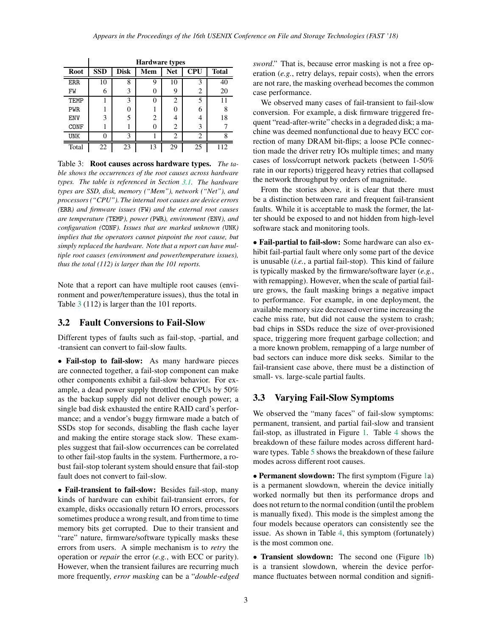|             | <b>Hardware types</b> |             |     |                |            |              |
|-------------|-----------------------|-------------|-----|----------------|------------|--------------|
| Root        | <b>SSD</b>            | <b>Disk</b> | Mem | Net            | <b>CPU</b> | <b>Total</b> |
| <b>ERR</b>  | 10                    | 8           | 9   | 10             | 3          | 40           |
| FW          | 6                     | 3           | 0   | 9              | 2          | 20           |
| <b>TEMP</b> |                       | 3           | 0   | $\overline{c}$ | 5          | 11           |
| <b>PWR</b>  |                       |             |     | 0              | 6          | 8            |
| ENV         | 3                     | 5           | 2   | 4              |            | 18           |
| CONF        |                       |             | 0   | 2              | 3          |              |
| <b>UNK</b>  | ∩                     | ζ           |     | 2              | 2          |              |
| Total       | 22                    | 23          | 13  | 29             | 25         | 112          |

<span id="page-2-2"></span>Table 3: Root causes across hardware types. *The table shows the occurrences of the root causes across hardware types. The table is referenced in Section [3.1.](#page-1-2) The hardware types are SSD, disk, memory ("Mem"), network ("Net"), and processors ("CPU"). The internal root causes are device errors (*ERR*) and firmware issues (*FW*) and the external root causes are temperature (*TEMP*), power (*PWR*), environment (*ENV*), and configuration (*CONF*). Issues that are marked unknown (*UNK*) implies that the operators cannot pinpoint the root cause, but simply replaced the hardware. Note that a report can have multiple root causes (environment and power/temperature issues), thus the total (112) is larger than the 101 reports.*

Note that a report can have multiple root causes (environment and power/temperature issues), thus the total in Table [3](#page-2-2) (112) is larger than the 101 reports.

#### <span id="page-2-0"></span>3.2 Fault Conversions to Fail-Slow

Different types of faults such as fail-stop, -partial, and -transient can convert to fail-slow faults.

• Fail-stop to fail-slow: As many hardware pieces are connected together, a fail-stop component can make other components exhibit a fail-slow behavior. For example, a dead power supply throttled the CPUs by 50% as the backup supply did not deliver enough power; a single bad disk exhausted the entire RAID card's performance; and a vendor's buggy firmware made a batch of SSDs stop for seconds, disabling the flash cache layer and making the entire storage stack slow. These examples suggest that fail-slow occurrences can be correlated to other fail-stop faults in the system. Furthermore, a robust fail-stop tolerant system should ensure that fail-stop fault does not convert to fail-slow.

• Fail-transient to fail-slow: Besides fail-stop, many kinds of hardware can exhibit fail-transient errors, for example, disks occasionally return IO errors, processors sometimes produce a wrong result, and from time to time memory bits get corrupted. Due to their transient and "rare" nature, firmware/software typically masks these errors from users. A simple mechanism is to *retry* the operation or *repair* the error (*e.g.*, with ECC or parity). However, when the transient failures are recurring much more frequently, *error masking* can be a "*double-edged* *sword*." That is, because error masking is not a free operation (*e.g.*, retry delays, repair costs), when the errors are not rare, the masking overhead becomes the common case performance.

We observed many cases of fail-transient to fail-slow conversion. For example, a disk firmware triggered frequent "read-after-write" checks in a degraded disk; a machine was deemed nonfunctional due to heavy ECC correction of many DRAM bit-flips; a loose PCIe connection made the driver retry IOs multiple times; and many cases of loss/corrupt network packets (between 1-50% rate in our reports) triggered heavy retries that collapsed the network throughput by orders of magnitude.

From the stories above, it is clear that there must be a distinction between rare and frequent fail-transient faults. While it is acceptable to mask the former, the latter should be exposed to and not hidden from high-level software stack and monitoring tools.

• Fail-partial to fail-slow: Some hardware can also exhibit fail-partial fault where only some part of the device is unusable (*i.e.*, a partial fail-stop). This kind of failure is typically masked by the firmware/software layer (*e.g.*, with remapping). However, when the scale of partial failure grows, the fault masking brings a negative impact to performance. For example, in one deployment, the available memory size decreased over time increasing the cache miss rate, but did not cause the system to crash; bad chips in SSDs reduce the size of over-provisioned space, triggering more frequent garbage collection; and a more known problem, remapping of a large number of bad sectors can induce more disk seeks. Similar to the fail-transient case above, there must be a distinction of small- vs. large-scale partial faults.

#### <span id="page-2-1"></span>3.3 Varying Fail-Slow Symptoms

We observed the "many faces" of fail-slow symptoms: permanent, transient, and partial fail-slow and transient fail-stop, as illustrated in Figure [1.](#page-3-1) Table [4](#page-3-2) shows the breakdown of these failure modes across different hard-ware types. Table [5](#page-3-3) shows the breakdown of these failure modes across different root causes.

• Permanent slowdown: The first symptom (Figure [1a](#page-3-1)) is a permanent slowdown, wherein the device initially worked normally but then its performance drops and does not return to the normal condition (until the problem is manually fixed). This mode is the simplest among the four models because operators can consistently see the issue. As shown in Table [4,](#page-3-2) this symptom (fortunately) is the most common one.

• Transient slowdown: The second one (Figure [1b](#page-3-1)) is a transient slowdown, wherein the device performance fluctuates between normal condition and signifi-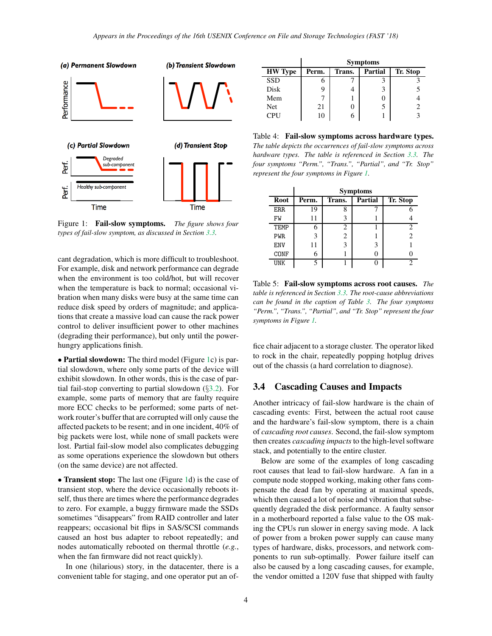

<span id="page-3-1"></span>Figure 1: Fail-slow symptoms. *The figure shows four types of fail-slow symptom, as discussed in Section [3.3.](#page-2-1)*

cant degradation, which is more difficult to troubleshoot. For example, disk and network performance can degrade when the environment is too cold/hot, but will recover when the temperature is back to normal; occasional vibration when many disks were busy at the same time can reduce disk speed by orders of magnitude; and applications that create a massive load can cause the rack power control to deliver insufficient power to other machines (degrading their performance), but only until the powerhungry applications finish.

• Partial slowdown: The third model (Figure [1c](#page-3-1)) is partial slowdown, where only some parts of the device will exhibit slowdown. In other words, this is the case of partial fail-stop converting to partial slowdown  $(\S3.2)$  $(\S3.2)$ . For example, some parts of memory that are faulty require more ECC checks to be performed; some parts of network router's buffer that are corrupted will only cause the affected packets to be resent; and in one incident, 40% of big packets were lost, while none of small packets were lost. Partial fail-slow model also complicates debugging as some operations experience the slowdown but others (on the same device) are not affected.

• Transient stop: The last one (Figure [1d](#page-3-1)) is the case of transient stop, where the device occasionally reboots itself, thus there are times where the performance degrades to zero. For example, a buggy firmware made the SSDs sometimes "disappears" from RAID controller and later reappears; occasional bit flips in SAS/SCSI commands caused an host bus adapter to reboot repeatedly; and nodes automatically rebooted on thermal throttle (*e.g.*, when the fan firmware did not react quickly).

In one (hilarious) story, in the datacenter, there is a convenient table for staging, and one operator put an of-

|                | <b>Symptoms</b> |        |                |          |
|----------------|-----------------|--------|----------------|----------|
| <b>HW</b> Type | Perm.           | Trans. | <b>Partial</b> | Tr. Stop |
| <b>SSD</b>     |                 |        |                |          |
| Disk           |                 |        | 3              |          |
| Mem            |                 |        |                |          |
| Net            | 21              |        |                |          |
| <b>CPU</b>     | 10              |        |                |          |

<span id="page-3-2"></span>Table 4: Fail-slow symptoms across hardware types. *The table depicts the occurrences of fail-slow symptoms across hardware types. The table is referenced in Section [3.3.](#page-2-1) The four symptoms "Perm.", "Trans.", "Partial", and "Tr. Stop" represent the four symptoms in Figure [1.](#page-3-1)*

|             | <b>Symptoms</b> |        |                |          |  |
|-------------|-----------------|--------|----------------|----------|--|
| Root        | Perm.           | Trans. | <b>Partial</b> | Tr. Stop |  |
| <b>ERR</b>  | 19              | 8      |                |          |  |
| FW          | 11              | 3      |                |          |  |
| <b>TEMP</b> |                 | 2      |                | 2        |  |
| <b>PWR</b>  | 3               | 2      |                |          |  |
| <b>ENV</b>  | 11              | 3      | 3              |          |  |
| CONF        | 6               |        | 0              |          |  |
| <b>UNK</b>  | 5               |        |                | 7        |  |

<span id="page-3-3"></span>Table 5: Fail-slow symptoms across root causes. *The table is referenced in Section [3.3.](#page-2-1) The root-cause abbreviations can be found in the caption of Table [3.](#page-2-2) The four symptoms "Perm.", "Trans.", "Partial", and "Tr. Stop" represent the four symptoms in Figure [1.](#page-3-1)*

fice chair adjacent to a storage cluster. The operator liked to rock in the chair, repeatedly popping hotplug drives out of the chassis (a hard correlation to diagnose).

#### <span id="page-3-0"></span>3.4 Cascading Causes and Impacts

Another intricacy of fail-slow hardware is the chain of cascading events: First, between the actual root cause and the hardware's fail-slow symptom, there is a chain of *cascading root causes*. Second, the fail-slow symptom then creates *cascading impacts* to the high-level software stack, and potentially to the entire cluster.

Below are some of the examples of long cascading root causes that lead to fail-slow hardware. A fan in a compute node stopped working, making other fans compensate the dead fan by operating at maximal speeds, which then caused a lot of noise and vibration that subsequently degraded the disk performance. A faulty sensor in a motherboard reported a false value to the OS making the CPUs run slower in energy saving mode. A lack of power from a broken power supply can cause many types of hardware, disks, processors, and network components to run sub-optimally. Power failure itself can also be caused by a long cascading causes, for example, the vendor omitted a 120V fuse that shipped with faulty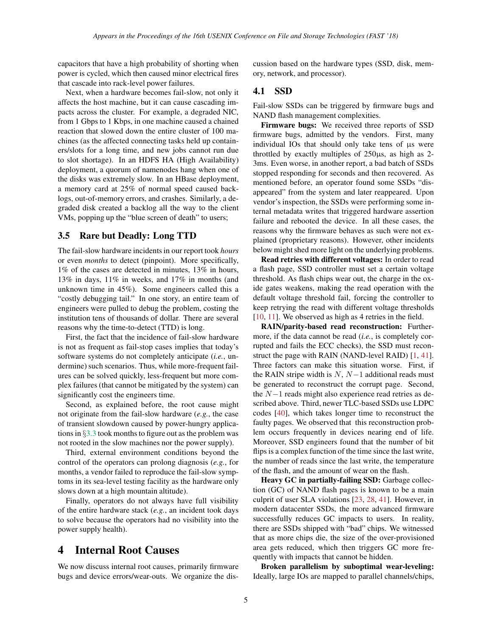capacitors that have a high probability of shorting when power is cycled, which then caused minor electrical fires that cascade into rack-level power failures.

Next, when a hardware becomes fail-slow, not only it affects the host machine, but it can cause cascading impacts across the cluster. For example, a degraded NIC, from 1 Gbps to 1 Kbps, in one machine caused a chained reaction that slowed down the entire cluster of 100 machines (as the affected connecting tasks held up containers/slots for a long time, and new jobs cannot run due to slot shortage). In an HDFS HA (High Availability) deployment, a quorum of namenodes hang when one of the disks was extremely slow. In an HBase deployment, a memory card at 25% of normal speed caused backlogs, out-of-memory errors, and crashes. Similarly, a degraded disk created a backlog all the way to the client VMs, popping up the "blue screen of death" to users;

#### <span id="page-4-1"></span>3.5 Rare but Deadly: Long TTD

The fail-slow hardware incidents in our report took *hours* or even *months* to detect (pinpoint). More specifically, 1% of the cases are detected in minutes, 13% in hours, 13% in days, 11% in weeks, and 17% in months (and unknown time in 45%). Some engineers called this a "costly debugging tail." In one story, an entire team of engineers were pulled to debug the problem, costing the institution tens of thousands of dollar. There are several reasons why the time-to-detect (TTD) is long.

First, the fact that the incidence of fail-slow hardware is not as frequent as fail-stop cases implies that today's software systems do not completely anticipate (*i.e.*, undermine) such scenarios. Thus, while more-frequent failures can be solved quickly, less-frequent but more complex failures (that cannot be mitigated by the system) can significantly cost the engineers time.

Second, as explained before, the root cause might not originate from the fail-slow hardware (*e.g.*, the case of transient slowdown caused by power-hungry applications in §[3.3](#page-2-1) took months to figure out as the problem was not rooted in the slow machines nor the power supply).

Third, external environment conditions beyond the control of the operators can prolong diagnosis (*e.g.*, for months, a vendor failed to reproduce the fail-slow symptoms in its sea-level testing facility as the hardware only slows down at a high mountain altitude).

Finally, operators do not always have full visibility of the entire hardware stack (*e.g.*, an incident took days to solve because the operators had no visibility into the power supply health).

### <span id="page-4-0"></span>4 Internal Root Causes

We now discuss internal root causes, primarily firmware bugs and device errors/wear-outs. We organize the discussion based on the hardware types (SSD, disk, memory, network, and processor).

#### <span id="page-4-2"></span>4.1 SSD

Fail-slow SSDs can be triggered by firmware bugs and NAND flash management complexities.

Firmware bugs: We received three reports of SSD firmware bugs, admitted by the vendors. First, many individual IOs that should only take tens of µs were throttled by exactly multiples of 250µs, as high as 2- 3ms. Even worse, in another report, a bad batch of SSDs stopped responding for seconds and then recovered. As mentioned before, an operator found some SSDs "disappeared" from the system and later reappeared. Upon vendor's inspection, the SSDs were performing some internal metadata writes that triggered hardware assertion failure and rebooted the device. In all these cases, the reasons why the firmware behaves as such were not explained (proprietary reasons). However, other incidents below might shed more light on the underlying problems.

Read retries with different voltages: In order to read a flash page, SSD controller must set a certain voltage threshold. As flash chips wear out, the charge in the oxide gates weakens, making the read operation with the default voltage threshold fail, forcing the controller to keep retrying the read with different voltage thresholds [\[10,](#page-12-11) [11\]](#page-12-12). We observed as high as 4 retries in the field.

RAIN/parity-based read reconstruction: Furthermore, if the data cannot be read (*i.e.*, is completely corrupted and fails the ECC checks), the SSD must reconstruct the page with RAIN (NAND-level RAID) [\[1,](#page-12-13) [41\]](#page-13-9). Three factors can make this situation worse. First, if the RAIN stripe width is  $N$ ,  $N-1$  additional reads must be generated to reconstruct the corrupt page. Second, the N−1 reads might also experience read retries as described above. Third, newer TLC-based SSDs use LDPC codes [\[40\]](#page-13-10), which takes longer time to reconstruct the faulty pages. We observed that this reconstruction problem occurs frequently in devices nearing end of life. Moreover, SSD engineers found that the number of bit flips is a complex function of the time since the last write, the number of reads since the last write, the temperature of the flash, and the amount of wear on the flash.

Heavy GC in partially-failing SSD: Garbage collection (GC) of NAND flash pages is known to be a main culprit of user SLA violations [\[23,](#page-13-11) [28,](#page-13-12) [41\]](#page-13-9). However, in modern datacenter SSDs, the more advanced firmware successfully reduces GC impacts to users. In reality, there are SSDs shipped with "bad" chips. We witnessed that as more chips die, the size of the over-provisioned area gets reduced, which then triggers GC more frequently with impacts that cannot be hidden.

Broken parallelism by suboptimal wear-leveling: Ideally, large IOs are mapped to parallel channels/chips,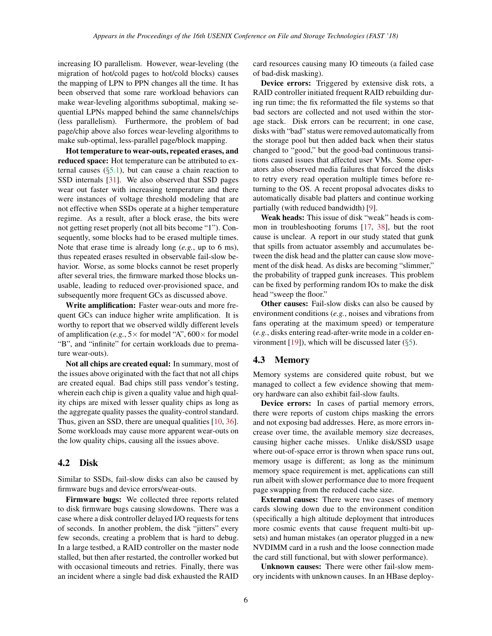increasing IO parallelism. However, wear-leveling (the migration of hot/cold pages to hot/cold blocks) causes the mapping of LPN to PPN changes all the time. It has been observed that some rare workload behaviors can make wear-leveling algorithms suboptimal, making sequential LPNs mapped behind the same channels/chips (less parallelism). Furthermore, the problem of bad page/chip above also forces wear-leveling algorithms to make sub-optimal, less-parallel page/block mapping.

Hot temperature to wear-outs, repeated erases, and reduced space: Hot temperature can be attributed to external causes  $(\S5.1)$  $(\S5.1)$ , but can cause a chain reaction to SSD internals [\[31\]](#page-13-13). We also observed that SSD pages wear out faster with increasing temperature and there were instances of voltage threshold modeling that are not effective when SSDs operate at a higher temperature regime. As a result, after a block erase, the bits were not getting reset properly (not all bits become "1"). Consequently, some blocks had to be erased multiple times. Note that erase time is already long (*e.g.*, up to 6 ms), thus repeated erases resulted in observable fail-slow behavior. Worse, as some blocks cannot be reset properly after several tries, the firmware marked those blocks unusable, leading to reduced over-provisioned space, and subsequently more frequent GCs as discussed above.

Write amplification: Faster wear-outs and more frequent GCs can induce higher write amplification. It is worthy to report that we observed wildly different levels of amplification (*e.g.*,  $5 \times$  for model "A",  $600 \times$  for model "B", and "infinite" for certain workloads due to premature wear-outs).

Not all chips are created equal: In summary, most of the issues above originated with the fact that not all chips are created equal. Bad chips still pass vendor's testing, wherein each chip is given a quality value and high quality chips are mixed with lesser quality chips as long as the aggregate quality passes the quality-control standard. Thus, given an SSD, there are unequal qualities [\[10,](#page-12-11) [36\]](#page-13-6). Some workloads may cause more apparent wear-outs on the low quality chips, causing all the issues above.

#### 4.2 Disk

Similar to SSDs, fail-slow disks can also be caused by firmware bugs and device errors/wear-outs.

Firmware bugs: We collected three reports related to disk firmware bugs causing slowdowns. There was a case where a disk controller delayed I/O requests for tens of seconds. In another problem, the disk "jitters" every few seconds, creating a problem that is hard to debug. In a large testbed, a RAID controller on the master node stalled, but then after restarted, the controller worked but with occasional timeouts and retries. Finally, there was an incident where a single bad disk exhausted the RAID card resources causing many IO timeouts (a failed case of bad-disk masking).

Device errors: Triggered by extensive disk rots, a RAID controller initiated frequent RAID rebuilding during run time; the fix reformatted the file systems so that bad sectors are collected and not used within the storage stack. Disk errors can be recurrent; in one case, disks with "bad" status were removed automatically from the storage pool but then added back when their status changed to "good," but the good-bad continuous transitions caused issues that affected user VMs. Some operators also observed media failures that forced the disks to retry every read operation multiple times before returning to the OS. A recent proposal advocates disks to automatically disable bad platters and continue working partially (with reduced bandwidth) [\[9\]](#page-12-14).

Weak heads: This issue of disk "weak" heads is common in troubleshooting forums [\[17,](#page-12-8) [38\]](#page-13-14), but the root cause is unclear. A report in our study stated that gunk that spills from actuator assembly and accumulates between the disk head and the platter can cause slow movement of the disk head. As disks are becoming "slimmer," the probability of trapped gunk increases. This problem can be fixed by performing random IOs to make the disk head "sweep the floor."

Other causes: Fail-slow disks can also be caused by environment conditions (*e.g.*, noises and vibrations from fans operating at the maximum speed) or temperature (*e.g.*, disks entering read-after-write mode in a colder en-vironment [\[19\]](#page-12-15)), which will be discussed later  $(\S 5)$  $(\S 5)$ .

#### 4.3 Memory

Memory systems are considered quite robust, but we managed to collect a few evidence showing that memory hardware can also exhibit fail-slow faults.

Device errors: In cases of partial memory errors, there were reports of custom chips masking the errors and not exposing bad addresses. Here, as more errors increase over time, the available memory size decreases, causing higher cache misses. Unlike disk/SSD usage where out-of-space error is thrown when space runs out, memory usage is different; as long as the minimum memory space requirement is met, applications can still run albeit with slower performance due to more frequent page swapping from the reduced cache size.

External causes: There were two cases of memory cards slowing down due to the environment condition (specifically a high altitude deployment that introduces more cosmic events that cause frequent multi-bit upsets) and human mistakes (an operator plugged in a new NVDIMM card in a rush and the loose connection made the card still functional, but with slower performance).

Unknown causes: There were other fail-slow memory incidents with unknown causes. In an HBase deploy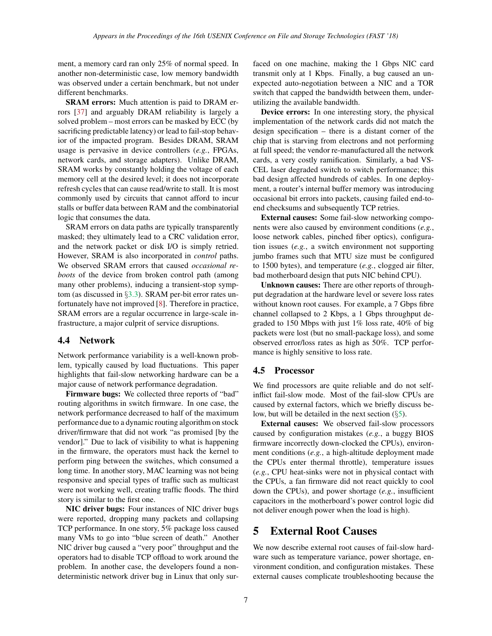ment, a memory card ran only 25% of normal speed. In another non-deterministic case, low memory bandwidth was observed under a certain benchmark, but not under different benchmarks.

SRAM errors: Much attention is paid to DRAM errors [\[37\]](#page-13-15) and arguably DRAM reliability is largely a solved problem – most errors can be masked by ECC (by sacrificing predictable latency) or lead to fail-stop behavior of the impacted program. Besides DRAM, SRAM usage is pervasive in device controllers (*e.g.*, FPGAs, network cards, and storage adapters). Unlike DRAM, SRAM works by constantly holding the voltage of each memory cell at the desired level; it does not incorporate refresh cycles that can cause read/write to stall. It is most commonly used by circuits that cannot afford to incur stalls or buffer data between RAM and the combinatorial logic that consumes the data.

SRAM errors on data paths are typically transparently masked; they ultimately lead to a CRC validation error, and the network packet or disk I/O is simply retried. However, SRAM is also incorporated in *control* paths. We observed SRAM errors that caused *occasional reboots* of the device from broken control path (among many other problems), inducing a transient-stop symptom (as discussed in §[3.3\)](#page-2-1). SRAM per-bit error rates unfortunately have not improved [\[8\]](#page-12-16). Therefore in practice, SRAM errors are a regular occurrence in large-scale infrastructure, a major culprit of service disruptions.

#### 4.4 Network

Network performance variability is a well-known problem, typically caused by load fluctuations. This paper highlights that fail-slow networking hardware can be a major cause of network performance degradation.

Firmware bugs: We collected three reports of "bad" routing algorithms in switch firmware. In one case, the network performance decreased to half of the maximum performance due to a dynamic routing algorithm on stock driver/firmware that did not work "as promised [by the vendor]." Due to lack of visibility to what is happening in the firmware, the operators must hack the kernel to perform ping between the switches, which consumed a long time. In another story, MAC learning was not being responsive and special types of traffic such as multicast were not working well, creating traffic floods. The third story is similar to the first one.

NIC driver bugs: Four instances of NIC driver bugs were reported, dropping many packets and collapsing TCP performance. In one story, 5% package loss caused many VMs to go into "blue screen of death." Another NIC driver bug caused a "very poor" throughput and the operators had to disable TCP offload to work around the problem. In another case, the developers found a nondeterministic network driver bug in Linux that only surfaced on one machine, making the 1 Gbps NIC card transmit only at 1 Kbps. Finally, a bug caused an unexpected auto-negotiation between a NIC and a TOR switch that capped the bandwidth between them, underutilizing the available bandwidth.

Device errors: In one interesting story, the physical implementation of the network cards did not match the design specification – there is a distant corner of the chip that is starving from electrons and not performing at full speed; the vendor re-manufactured all the network cards, a very costly ramification. Similarly, a bad VS-CEL laser degraded switch to switch performance; this bad design affected hundreds of cables. In one deployment, a router's internal buffer memory was introducing occasional bit errors into packets, causing failed end-toend checksums and subsequently TCP retries.

External causes: Some fail-slow networking components were also caused by environment conditions (*e.g.*, loose network cables, pinched fiber optics), configuration issues (*e.g.*, a switch environment not supporting jumbo frames such that MTU size must be configured to 1500 bytes), and temperature (*e.g.*, clogged air filter, bad motherboard design that puts NIC behind CPU).

Unknown causes: There are other reports of throughput degradation at the hardware level or severe loss rates without known root causes. For example, a 7 Gbps fibre channel collapsed to 2 Kbps, a 1 Gbps throughput degraded to 150 Mbps with just 1% loss rate, 40% of big packets were lost (but no small-package loss), and some observed error/loss rates as high as 50%. TCP performance is highly sensitive to loss rate.

#### 4.5 Processor

We find processors are quite reliable and do not selfinflict fail-slow mode. Most of the fail-slow CPUs are caused by external factors, which we briefly discuss below, but will be detailed in the next section  $(\S5)$  $(\S5)$ .

External causes: We observed fail-slow processors caused by configuration mistakes (*e.g.*, a buggy BIOS firmware incorrectly down-clocked the CPUs), environment conditions (*e.g.*, a high-altitude deployment made the CPUs enter thermal throttle), temperature issues (*e.g.*, CPU heat-sinks were not in physical contact with the CPUs, a fan firmware did not react quickly to cool down the CPUs), and power shortage (*e.g.*, insufficient capacitors in the motherboard's power control logic did not deliver enough power when the load is high).

### <span id="page-6-0"></span>5 External Root Causes

We now describe external root causes of fail-slow hardware such as temperature variance, power shortage, environment condition, and configuration mistakes. These external causes complicate troubleshooting because the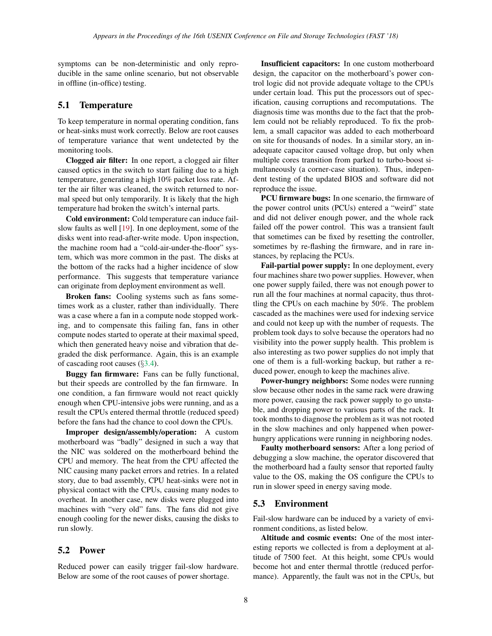symptoms can be non-deterministic and only reproducible in the same online scenario, but not observable in offline (in-office) testing.

#### <span id="page-7-0"></span>5.1 Temperature

To keep temperature in normal operating condition, fans or heat-sinks must work correctly. Below are root causes of temperature variance that went undetected by the monitoring tools.

Clogged air filter: In one report, a clogged air filter caused optics in the switch to start failing due to a high temperature, generating a high 10% packet loss rate. After the air filter was cleaned, the switch returned to normal speed but only temporarily. It is likely that the high temperature had broken the switch's internal parts.

Cold environment: Cold temperature can induce failslow faults as well [\[19\]](#page-12-15). In one deployment, some of the disks went into read-after-write mode. Upon inspection, the machine room had a "cold-air-under-the-floor" system, which was more common in the past. The disks at the bottom of the racks had a higher incidence of slow performance. This suggests that temperature variance can originate from deployment environment as well.

Broken fans: Cooling systems such as fans sometimes work as a cluster, rather than individually. There was a case where a fan in a compute node stopped working, and to compensate this failing fan, fans in other compute nodes started to operate at their maximal speed, which then generated heavy noise and vibration that degraded the disk performance. Again, this is an example of cascading root causes (§[3.4\)](#page-3-0).

Buggy fan firmware: Fans can be fully functional, but their speeds are controlled by the fan firmware. In one condition, a fan firmware would not react quickly enough when CPU-intensive jobs were running, and as a result the CPUs entered thermal throttle (reduced speed) before the fans had the chance to cool down the CPUs.

Improper design/assembly/operation: A custom motherboard was "badly" designed in such a way that the NIC was soldered on the motherboard behind the CPU and memory. The heat from the CPU affected the NIC causing many packet errors and retries. In a related story, due to bad assembly, CPU heat-sinks were not in physical contact with the CPUs, causing many nodes to overheat. In another case, new disks were plugged into machines with "very old" fans. The fans did not give enough cooling for the newer disks, causing the disks to run slowly.

#### 5.2 Power

Reduced power can easily trigger fail-slow hardware. Below are some of the root causes of power shortage.

Insufficient capacitors: In one custom motherboard design, the capacitor on the motherboard's power control logic did not provide adequate voltage to the CPUs under certain load. This put the processors out of specification, causing corruptions and recomputations. The diagnosis time was months due to the fact that the problem could not be reliably reproduced. To fix the problem, a small capacitor was added to each motherboard on site for thousands of nodes. In a similar story, an inadequate capacitor caused voltage drop, but only when multiple cores transition from parked to turbo-boost simultaneously (a corner-case situation). Thus, independent testing of the updated BIOS and software did not reproduce the issue.

PCU firmware bugs: In one scenario, the firmware of the power control units (PCUs) entered a "weird" state and did not deliver enough power, and the whole rack failed off the power control. This was a transient fault that sometimes can be fixed by resetting the controller, sometimes by re-flashing the firmware, and in rare instances, by replacing the PCUs.

Fail-partial power supply: In one deployment, every four machines share two power supplies. However, when one power supply failed, there was not enough power to run all the four machines at normal capacity, thus throttling the CPUs on each machine by 50%. The problem cascaded as the machines were used for indexing service and could not keep up with the number of requests. The problem took days to solve because the operators had no visibility into the power supply health. This problem is also interesting as two power supplies do not imply that one of them is a full-working backup, but rather a reduced power, enough to keep the machines alive.

Power-hungry neighbors: Some nodes were running slow because other nodes in the same rack were drawing more power, causing the rack power supply to go unstable, and dropping power to various parts of the rack. It took months to diagnose the problem as it was not rooted in the slow machines and only happened when powerhungry applications were running in neighboring nodes.

Faulty motherboard sensors: After a long period of debugging a slow machine, the operator discovered that the motherboard had a faulty sensor that reported faulty value to the OS, making the OS configure the CPUs to run in slower speed in energy saving mode.

#### 5.3 Environment

Fail-slow hardware can be induced by a variety of environment conditions, as listed below.

Altitude and cosmic events: One of the most interesting reports we collected is from a deployment at altitude of 7500 feet. At this height, some CPUs would become hot and enter thermal throttle (reduced performance). Apparently, the fault was not in the CPUs, but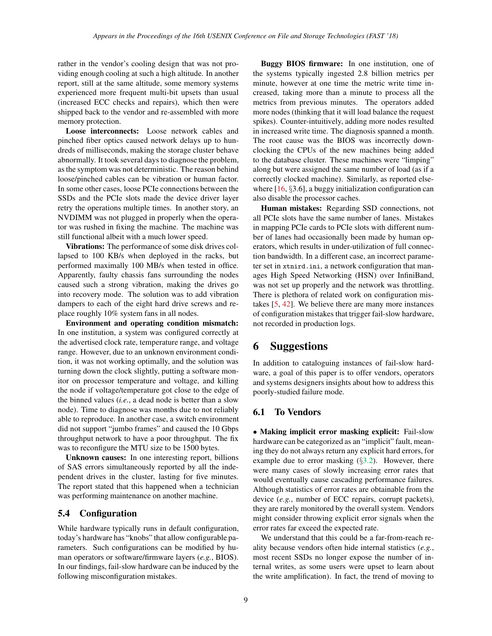rather in the vendor's cooling design that was not providing enough cooling at such a high altitude. In another report, still at the same altitude, some memory systems experienced more frequent multi-bit upsets than usual (increased ECC checks and repairs), which then were shipped back to the vendor and re-assembled with more memory protection.

Loose interconnects: Loose network cables and pinched fiber optics caused network delays up to hundreds of milliseconds, making the storage cluster behave abnormally. It took several days to diagnose the problem, as the symptom was not deterministic. The reason behind loose/pinched cables can be vibration or human factor. In some other cases, loose PCIe connections between the SSDs and the PCIe slots made the device driver layer retry the operations multiple times. In another story, an NVDIMM was not plugged in properly when the operator was rushed in fixing the machine. The machine was still functional albeit with a much lower speed.

Vibrations: The performance of some disk drives collapsed to 100 KB/s when deployed in the racks, but performed maximally 100 MB/s when tested in office. Apparently, faulty chassis fans surrounding the nodes caused such a strong vibration, making the drives go into recovery mode. The solution was to add vibration dampers to each of the eight hard drive screws and replace roughly 10% system fans in all nodes.

Environment and operating condition mismatch: In one institution, a system was configured correctly at the advertised clock rate, temperature range, and voltage range. However, due to an unknown environment condition, it was not working optimally, and the solution was turning down the clock slightly, putting a software monitor on processor temperature and voltage, and killing the node if voltage/temperature got close to the edge of the binned values (*i.e.*, a dead node is better than a slow node). Time to diagnose was months due to not reliably able to reproduce. In another case, a switch environment did not support "jumbo frames" and caused the 10 Gbps throughput network to have a poor throughput. The fix was to reconfigure the MTU size to be 1500 bytes.

Unknown causes: In one interesting report, billions of SAS errors simultaneously reported by all the independent drives in the cluster, lasting for five minutes. The report stated that this happened when a technician was performing maintenance on another machine.

#### 5.4 Configuration

While hardware typically runs in default configuration, today's hardware has "knobs" that allow configurable parameters. Such configurations can be modified by human operators or software/firmware layers (*e.g.*, BIOS). In our findings, fail-slow hardware can be induced by the following misconfiguration mistakes.

Buggy BIOS firmware: In one institution, one of the systems typically ingested 2.8 billion metrics per minute, however at one time the metric write time increased, taking more than a minute to process all the metrics from previous minutes. The operators added more nodes (thinking that it will load balance the request spikes). Counter-intuitively, adding more nodes resulted in increased write time. The diagnosis spanned a month. The root cause was the BIOS was incorrectly downclocking the CPUs of the new machines being added to the database cluster. These machines were "limping" along but were assigned the same number of load (as if a correctly clocked machine). Similarly, as reported else-where [\[16,](#page-12-17) §3.6], a buggy initialization configuration can also disable the processor caches.

Human mistakes: Regarding SSD connections, not all PCIe slots have the same number of lanes. Mistakes in mapping PCIe cards to PCIe slots with different number of lanes had occasionally been made by human operators, which results in under-utilization of full connection bandwidth. In a different case, an incorrect parameter set in xtnird.ini, a network configuration that manages High Speed Networking (HSN) over InfiniBand, was not set up properly and the network was throttling. There is plethora of related work on configuration mistakes [\[5,](#page-12-18) [42\]](#page-13-16). We believe there are many more instances of configuration mistakes that trigger fail-slow hardware, not recorded in production logs.

# <span id="page-8-0"></span>6 Suggestions

In addition to cataloguing instances of fail-slow hardware, a goal of this paper is to offer vendors, operators and systems designers insights about how to address this poorly-studied failure mode.

#### <span id="page-8-1"></span>6.1 To Vendors

• Making implicit error masking explicit: Fail-slow hardware can be categorized as an "implicit" fault, meaning they do not always return any explicit hard errors, for example due to error masking (§[3.2\)](#page-2-0). However, there were many cases of slowly increasing error rates that would eventually cause cascading performance failures. Although statistics of error rates are obtainable from the device (*e.g.*, number of ECC repairs, corrupt packets), they are rarely monitored by the overall system. Vendors might consider throwing explicit error signals when the error rates far exceed the expected rate.

We understand that this could be a far-from-reach reality because vendors often hide internal statistics (*e.g.*, most recent SSDs no longer expose the number of internal writes, as some users were upset to learn about the write amplification). In fact, the trend of moving to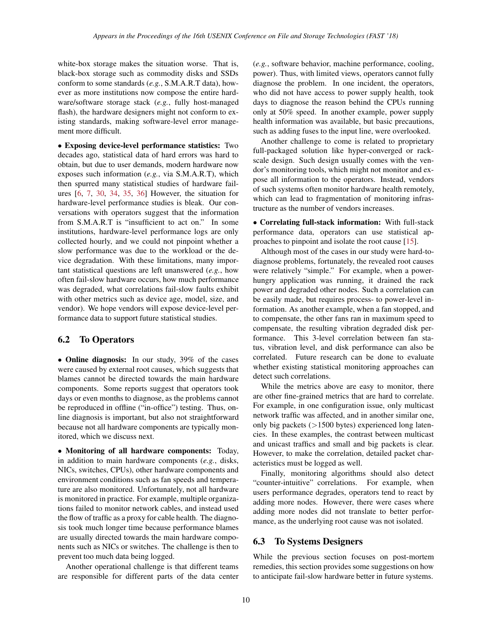white-box storage makes the situation worse. That is, black-box storage such as commodity disks and SSDs conform to some standards (*e.g.*, S.M.A.R.T data), however as more institutions now compose the entire hardware/software storage stack (*e.g.*, fully host-managed flash), the hardware designers might not conform to existing standards, making software-level error management more difficult.

• Exposing device-level performance statistics: Two decades ago, statistical data of hard errors was hard to obtain, but due to user demands, modern hardware now exposes such information (*e.g.*, via S.M.A.R.T), which then spurred many statistical studies of hardware failures [\[6,](#page-12-2) [7,](#page-12-3) [30,](#page-13-0) [34,](#page-13-4) [35,](#page-13-2) [36\]](#page-13-6) However, the situation for hardware-level performance studies is bleak. Our conversations with operators suggest that the information from S.M.A.R.T is "insufficient to act on." In some institutions, hardware-level performance logs are only collected hourly, and we could not pinpoint whether a slow performance was due to the workload or the device degradation. With these limitations, many important statistical questions are left unanswered (*e.g.*, how often fail-slow hardware occurs, how much performance was degraded, what correlations fail-slow faults exhibit with other metrics such as device age, model, size, and vendor). We hope vendors will expose device-level performance data to support future statistical studies.

#### <span id="page-9-0"></span>6.2 To Operators

• Online diagnosis: In our study, 39% of the cases were caused by external root causes, which suggests that blames cannot be directed towards the main hardware components. Some reports suggest that operators took days or even months to diagnose, as the problems cannot be reproduced in offline ("in-office") testing. Thus, online diagnosis is important, but also not straightforward because not all hardware components are typically monitored, which we discuss next.

• Monitoring of all hardware components: Today, in addition to main hardware components (*e.g.*, disks, NICs, switches, CPUs), other hardware components and environment conditions such as fan speeds and temperature are also monitored. Unfortunately, not all hardware is monitored in practice. For example, multiple organizations failed to monitor network cables, and instead used the flow of traffic as a proxy for cable health. The diagnosis took much longer time because performance blames are usually directed towards the main hardware components such as NICs or switches. The challenge is then to prevent too much data being logged.

Another operational challenge is that different teams are responsible for different parts of the data center (*e.g.*, software behavior, machine performance, cooling, power). Thus, with limited views, operators cannot fully diagnose the problem. In one incident, the operators, who did not have access to power supply health, took days to diagnose the reason behind the CPUs running only at 50% speed. In another example, power supply health information was available, but basic precautions, such as adding fuses to the input line, were overlooked.

Another challenge to come is related to proprietary full-packaged solution like hyper-converged or rackscale design. Such design usually comes with the vendor's monitoring tools, which might not monitor and expose all information to the operators. Instead, vendors of such systems often monitor hardware health remotely, which can lead to fragmentation of monitoring infrastructure as the number of vendors increases.

• Correlating full-stack information: With full-stack performance data, operators can use statistical approaches to pinpoint and isolate the root cause [\[15\]](#page-12-19).

Although most of the cases in our study were hard-todiagnose problems, fortunately, the revealed root causes were relatively "simple." For example, when a powerhungry application was running, it drained the rack power and degraded other nodes. Such a correlation can be easily made, but requires process- to power-level information. As another example, when a fan stopped, and to compensate, the other fans ran in maximum speed to compensate, the resulting vibration degraded disk performance. This 3-level correlation between fan status, vibration level, and disk performance can also be correlated. Future research can be done to evaluate whether existing statistical monitoring approaches can detect such correlations.

While the metrics above are easy to monitor, there are other fine-grained metrics that are hard to correlate. For example, in one configuration issue, only multicast network traffic was affected, and in another similar one, only big packets  $(>1500$  bytes) experienced long latencies. In these examples, the contrast between multicast and unicast traffics and small and big packets is clear. However, to make the correlation, detailed packet characteristics must be logged as well.

Finally, monitoring algorithms should also detect "counter-intuitive" correlations. For example, when users performance degrades, operators tend to react by adding more nodes. However, there were cases where adding more nodes did not translate to better performance, as the underlying root cause was not isolated.

#### <span id="page-9-1"></span>6.3 To Systems Designers

While the previous section focuses on post-mortem remedies, this section provides some suggestions on how to anticipate fail-slow hardware better in future systems.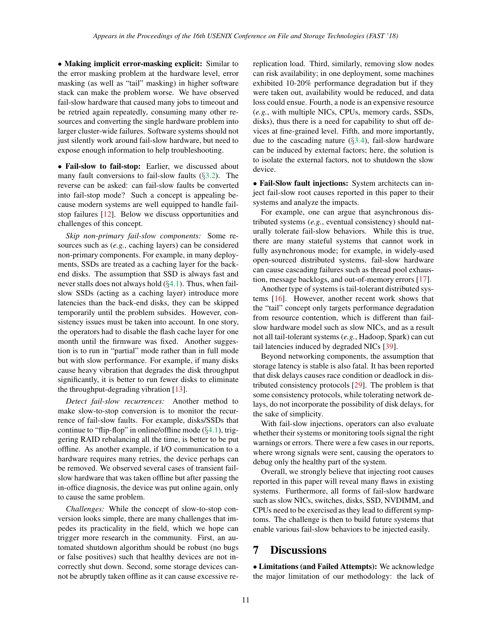• Making implicit error-masking explicit: Similar to the error masking problem at the hardware level, error masking (as well as "tail" masking) in higher software stack can make the problem worse. We have observed fail-slow hardware that caused many jobs to timeout and be retried again repeatedly, consuming many other resources and converting the single hardware problem into larger cluster-wide failures. Software systems should not just silently work around fail-slow hardware, but need to expose enough information to help troubleshooting.

• Fail-slow to fail-stop: Earlier, we discussed about many fault conversions to fail-slow faults  $(\S3.2)$  $(\S3.2)$ . The reverse can be asked: can fail-slow faults be converted into fail-stop mode? Such a concept is appealing because modern systems are well equipped to handle failstop failures [\[12\]](#page-12-20). Below we discuss opportunities and challenges of this concept.

*Skip non-primary fail-slow components:* Some resources such as (*e.g.*, caching layers) can be considered non-primary components. For example, in many deployments, SSDs are treated as a caching layer for the backend disks. The assumption that SSD is always fast and never stalls does not always hold  $(\S4.1)$  $(\S4.1)$ . Thus, when failslow SSDs (acting as a caching layer) introduce more latencies than the back-end disks, they can be skipped temporarily until the problem subsides. However, consistency issues must be taken into account. In one story, the operators had to disable the flash cache layer for one month until the firmware was fixed. Another suggestion is to run in "partial" mode rather than in full mode but with slow performance. For example, if many disks cause heavy vibration that degrades the disk throughput significantly, it is better to run fewer disks to eliminate the throughput-degrading vibration [\[13\]](#page-12-21).

*Detect fail-slow recurrences:* Another method to make slow-to-stop conversion is to monitor the recurrence of fail-slow faults. For example, disks/SSDs that continue to "flip-flop" in online/offline mode  $(\S 4.1)$  $(\S 4.1)$ , triggering RAID rebalancing all the time, is better to be put offline. As another example, if I/O communication to a hardware requires many retries, the device perhaps can be removed. We observed several cases of transient failslow hardware that was taken offline but after passing the in-office diagnosis, the device was put online again, only to cause the same problem.

*Challenges:* While the concept of slow-to-stop conversion looks simple, there are many challenges that impedes its practicality in the field, which we hope can trigger more research in the community. First, an automated shutdown algorithm should be robust (no bugs or false positives) such that healthy devices are not incorrectly shut down. Second, some storage devices cannot be abruptly taken offline as it can cause excessive rereplication load. Third, similarly, removing slow nodes can risk availability; in one deployment, some machines exhibited 10-20% performance degradation but if they were taken out, availability would be reduced, and data loss could ensue. Fourth, a node is an expensive resource (*e.g.*, with multiple NICs, CPUs, memory cards, SSDs, disks), thus there is a need for capability to shut off devices at fine-grained level. Fifth, and more importantly, due to the cascading nature  $(\S3.4)$  $(\S3.4)$ , fail-slow hardware can be induced by external factors; here, the solution is to isolate the external factors, not to shutdown the slow device.

• Fail-Slow fault injections: System architects can inject fail-slow root causes reported in this paper to their systems and analyze the impacts.

For example, one can argue that asynchronous distributed systems (*e.g.*, eventual consistency) should naturally tolerate fail-slow behaviors. While this is true, there are many stateful systems that cannot work in fully asynchronous mode; for example, in widely-used open-sourced distributed systems, fail-slow hardware can cause cascading failures such as thread pool exhaustion, message backlogs, and out-of-memory errors [\[17\]](#page-12-8).

Another type of systems is tail-tolerant distributed systems [\[16\]](#page-12-17). However, another recent work shows that the "tail" concept only targets performance degradation from resource contention, which is different than failslow hardware model such as slow NICs, and as a result not all tail-tolerant systems (*e.g.*, Hadoop, Spark) can cut tail latencies induced by degraded NICs [\[39\]](#page-13-17).

Beyond networking components, the assumption that storage latency is stable is also fatal. It has been reported that disk delays causes race condition or deadlock in distributed consistency protocols [\[29\]](#page-13-18). The problem is that some consistency protocols, while tolerating network delays, do not incorporate the possibility of disk delays, for the sake of simplicity.

With fail-slow injections, operators can also evaluate whether their systems or monitoring tools signal the right warnings or errors. There were a few cases in our reports, where wrong signals were sent, causing the operators to debug only the healthy part of the system.

Overall, we strongly believe that injecting root causes reported in this paper will reveal many flaws in existing systems. Furthermore, all forms of fail-slow hardware such as slow NICs, switches, disks, SSD, NVDIMM, and CPUs need to be exercised as they lead to different symptoms. The challenge is then to build future systems that enable various fail-slow behaviors to be injected easily.

### 7 Discussions

• Limitations (and Failed Attempts): We acknowledge the major limitation of our methodology: the lack of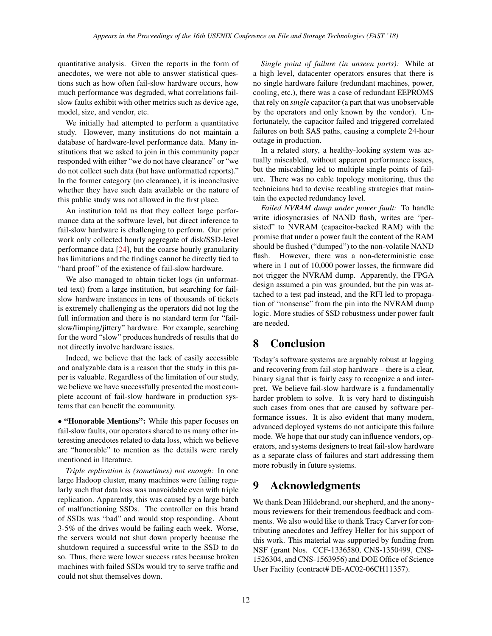quantitative analysis. Given the reports in the form of anecdotes, we were not able to answer statistical questions such as how often fail-slow hardware occurs, how much performance was degraded, what correlations failslow faults exhibit with other metrics such as device age, model, size, and vendor, etc.

We initially had attempted to perform a quantitative study. However, many institutions do not maintain a database of hardware-level performance data. Many institutions that we asked to join in this community paper responded with either "we do not have clearance" or "we do not collect such data (but have unformatted reports)." In the former category (no clearance), it is inconclusive whether they have such data available or the nature of this public study was not allowed in the first place.

An institution told us that they collect large performance data at the software level, but direct inference to fail-slow hardware is challenging to perform. Our prior work only collected hourly aggregate of disk/SSD-level performance data [\[24\]](#page-13-19), but the coarse hourly granularity has limitations and the findings cannot be directly tied to "hard proof" of the existence of fail-slow hardware.

We also managed to obtain ticket logs (in unformatted text) from a large institution, but searching for failslow hardware instances in tens of thousands of tickets is extremely challenging as the operators did not log the full information and there is no standard term for "failslow/limping/jittery" hardware. For example, searching for the word "slow" produces hundreds of results that do not directly involve hardware issues.

Indeed, we believe that the lack of easily accessible and analyzable data is a reason that the study in this paper is valuable. Regardless of the limitation of our study, we believe we have successfully presented the most complete account of fail-slow hardware in production systems that can benefit the community.

• "Honorable Mentions": While this paper focuses on fail-slow faults, our operators shared to us many other interesting anecdotes related to data loss, which we believe are "honorable" to mention as the details were rarely mentioned in literature.

*Triple replication is (sometimes) not enough:* In one large Hadoop cluster, many machines were failing regularly such that data loss was unavoidable even with triple replication. Apparently, this was caused by a large batch of malfunctioning SSDs. The controller on this brand of SSDs was "bad" and would stop responding. About 3-5% of the drives would be failing each week. Worse, the servers would not shut down properly because the shutdown required a successful write to the SSD to do so. Thus, there were lower success rates because broken machines with failed SSDs would try to serve traffic and could not shut themselves down.

*Single point of failure (in unseen parts):* While at a high level, datacenter operators ensures that there is no single hardware failure (redundant machines, power, cooling, etc.), there was a case of redundant EEPROMS that rely on *single* capacitor (a part that was unobservable by the operators and only known by the vendor). Unfortunately, the capacitor failed and triggered correlated failures on both SAS paths, causing a complete 24-hour outage in production.

In a related story, a healthy-looking system was actually miscabled, without apparent performance issues, but the miscabling led to multiple single points of failure. There was no cable topology monitoring, thus the technicians had to devise recabling strategies that maintain the expected redundancy level.

*Failed NVRAM dump under power fault:* To handle write idiosyncrasies of NAND flash, writes are "persisted" to NVRAM (capacitor-backed RAM) with the promise that under a power fault the content of the RAM should be flushed ("dumped") to the non-volatile NAND flash. However, there was a non-deterministic case where in 1 out of 10,000 power losses, the firmware did not trigger the NVRAM dump. Apparently, the FPGA design assumed a pin was grounded, but the pin was attached to a test pad instead, and the RFI led to propagation of "nonsense" from the pin into the NVRAM dump logic. More studies of SSD robustness under power fault are needed.

# 8 Conclusion

Today's software systems are arguably robust at logging and recovering from fail-stop hardware – there is a clear, binary signal that is fairly easy to recognize a and interpret. We believe fail-slow hardware is a fundamentally harder problem to solve. It is very hard to distinguish such cases from ones that are caused by software performance issues. It is also evident that many modern, advanced deployed systems do not anticipate this failure mode. We hope that our study can influence vendors, operators, and systems designers to treat fail-slow hardware as a separate class of failures and start addressing them more robustly in future systems.

# 9 Acknowledgments

We thank Dean Hildebrand, our shepherd, and the anonymous reviewers for their tremendous feedback and comments. We also would like to thank Tracy Carver for contributing anecdotes and Jeffrey Heller for his support of this work. This material was supported by funding from NSF (grant Nos. CCF-1336580, CNS-1350499, CNS-1526304, and CNS-1563956) and DOE Office of Science User Facility (contract# DE-AC02-06CH11357).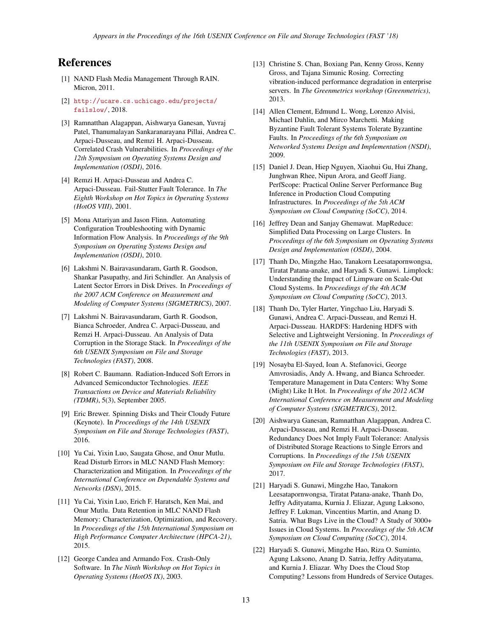# <span id="page-12-13"></span>References

- <span id="page-12-10"></span>[1] NAND Flash Media Management Through RAIN. Micron, 2011.
- <span id="page-12-0"></span>[2] [http://ucare.cs.uchicago.edu/projects/](http://ucare.cs.uchicago.edu/projects/failslow/) [failslow/](http://ucare.cs.uchicago.edu/projects/failslow/), 2018.
- [3] Ramnatthan Alagappan, Aishwarya Ganesan, Yuvraj Patel, Thanumalayan Sankaranarayana Pillai, Andrea C. Arpaci-Dusseau, and Remzi H. Arpaci-Dusseau. Correlated Crash Vulnerabilities. In *Proceedings of the 12th Symposium on Operating Systems Design and Implementation (OSDI)*, 2016.
- <span id="page-12-7"></span>[4] Remzi H. Arpaci-Dusseau and Andrea C. Arpaci-Dusseau. Fail-Stutter Fault Tolerance. In *The Eighth Workshop on Hot Topics in Operating Systems (HotOS VIII)*, 2001.
- <span id="page-12-18"></span>[5] Mona Attariyan and Jason Flinn. Automating Configuration Troubleshooting with Dynamic Information Flow Analysis. In *Proceedings of the 9th Symposium on Operating Systems Design and Implementation (OSDI)*, 2010.
- <span id="page-12-2"></span>[6] Lakshmi N. Bairavasundaram, Garth R. Goodson, Shankar Pasupathy, and Jiri Schindler. An Analysis of Latent Sector Errors in Disk Drives. In *Proceedings of the 2007 ACM Conference on Measurement and Modeling of Computer Systems (SIGMETRICS)*, 2007.
- <span id="page-12-3"></span>[7] Lakshmi N. Bairavasundaram, Garth R. Goodson, Bianca Schroeder, Andrea C. Arpaci-Dusseau, and Remzi H. Arpaci-Dusseau. An Analysis of Data Corruption in the Storage Stack. In *Proceedings of the 6th USENIX Symposium on File and Storage Technologies (FAST)*, 2008.
- <span id="page-12-16"></span>[8] Robert C. Baumann. Radiation-Induced Soft Errors in Advanced Semiconductor Technologies. *IEEE Transactions on Device and Materials Reliability (TDMR)*, 5(3), September 2005.
- <span id="page-12-14"></span>[9] Eric Brewer. Spinning Disks and Their Cloudy Future (Keynote). In *Proceedings of the 14th USENIX Symposium on File and Storage Technologies (FAST)*, 2016.
- <span id="page-12-11"></span>[10] Yu Cai, Yixin Luo, Saugata Ghose, and Onur Mutlu. Read Disturb Errors in MLC NAND Flash Memory: Characterization and Mitigation. In *Proceedings of the International Conference on Dependable Systems and Networks (DSN)*, 2015.
- <span id="page-12-12"></span>[11] Yu Cai, Yixin Luo, Erich F. Haratsch, Ken Mai, and Onur Mutlu. Data Retention in MLC NAND Flash Memory: Characterization, Optimization, and Recovery. In *Proceedings of the 15th International Symposium on High Performance Computer Architecture (HPCA-21)*, 2015.
- <span id="page-12-20"></span>[12] George Candea and Armando Fox. Crash-Only Software. In *The Ninth Workshop on Hot Topics in Operating Systems (HotOS IX)*, 2003.
- <span id="page-12-21"></span>[13] Christine S. Chan, Boxiang Pan, Kenny Gross, Kenny Gross, and Tajana Simunic Rosing. Correcting vibration-induced performance degradation in enterprise servers. In *The Greenmetrics workshop (Greenmetrics)*, 2013.
- <span id="page-12-6"></span>[14] Allen Clement, Edmund L. Wong, Lorenzo Alvisi, Michael Dahlin, and Mirco Marchetti. Making Byzantine Fault Tolerant Systems Tolerate Byzantine Faults. In *Proceedings of the 6th Symposium on Networked Systems Design and Implementation (NSDI)*, 2009.
- <span id="page-12-19"></span>[15] Daniel J. Dean, Hiep Nguyen, Xiaohui Gu, Hui Zhang, Junghwan Rhee, Nipun Arora, and Geoff Jiang. PerfScope: Practical Online Server Performance Bug Inference in Production Cloud Computing Infrastructures. In *Proceedings of the 5th ACM Symposium on Cloud Computing (SoCC)*, 2014.
- <span id="page-12-17"></span>[16] Jeffrey Dean and Sanjay Ghemawat. MapReduce: Simplified Data Processing on Large Clusters. In *Proceedings of the 6th Symposium on Operating Systems Design and Implementation (OSDI)*, 2004.
- <span id="page-12-8"></span>[17] Thanh Do, Mingzhe Hao, Tanakorn Leesatapornwongsa, Tiratat Patana-anake, and Haryadi S. Gunawi. Limplock: Understanding the Impact of Limpware on Scale-Out Cloud Systems. In *Proceedings of the 4th ACM Symposium on Cloud Computing (SoCC)*, 2013.
- <span id="page-12-4"></span>[18] Thanh Do, Tyler Harter, Yingchao Liu, Haryadi S. Gunawi, Andrea C. Arpaci-Dusseau, and Remzi H. Arpaci-Dusseau. HARDFS: Hardening HDFS with Selective and Lightweight Versioning. In *Proceedings of the 11th USENIX Symposium on File and Storage Technologies (FAST)*, 2013.
- <span id="page-12-15"></span>[19] Nosayba El-Sayed, Ioan A. Stefanovici, George Amvrosiadis, Andy A. Hwang, and Bianca Schroeder. Temperature Management in Data Centers: Why Some (Might) Like It Hot. In *Proceedings of the 2012 ACM International Conference on Measurement and Modeling of Computer Systems (SIGMETRICS)*, 2012.
- <span id="page-12-5"></span>[20] Aishwarya Ganesan, Ramnatthan Alagappan, Andrea C. Arpaci-Dusseau, and Remzi H. Arpaci-Dusseau. Redundancy Does Not Imply Fault Tolerance: Analysis of Distributed Storage Reactions to Single Errors and Corruptions. In *Proceedings of the 15th USENIX Symposium on File and Storage Technologies (FAST)*, 2017.
- <span id="page-12-9"></span>[21] Haryadi S. Gunawi, Mingzhe Hao, Tanakorn Leesatapornwongsa, Tiratat Patana-anake, Thanh Do, Jeffry Adityatama, Kurnia J. Eliazar, Agung Laksono, Jeffrey F. Lukman, Vincentius Martin, and Anang D. Satria. What Bugs Live in the Cloud? A Study of 3000+ Issues in Cloud Systems. In *Proceedings of the 5th ACM Symposium on Cloud Computing (SoCC)*, 2014.
- <span id="page-12-1"></span>[22] Haryadi S. Gunawi, Mingzhe Hao, Riza O. Suminto, Agung Laksono, Anang D. Satria, Jeffry Adityatama, and Kurnia J. Eliazar. Why Does the Cloud Stop Computing? Lessons from Hundreds of Service Outages.